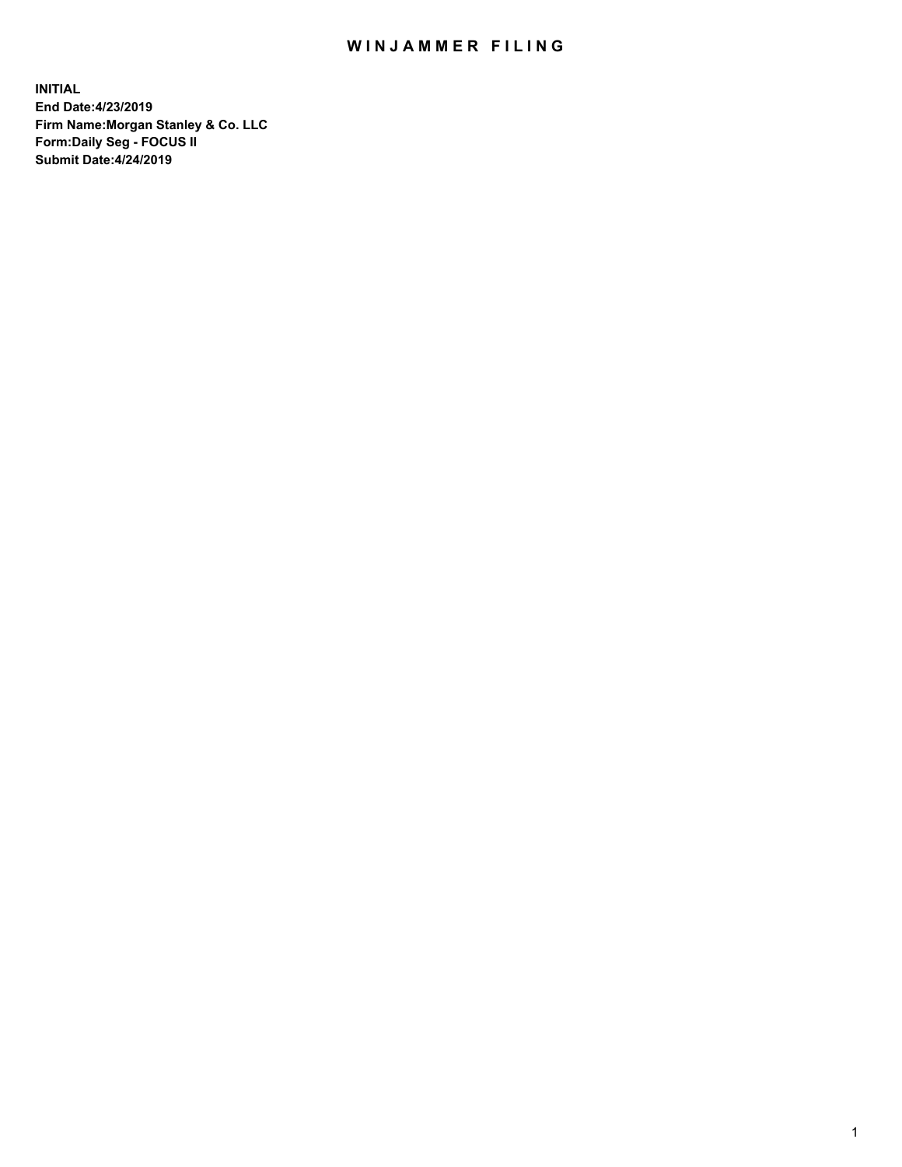## WIN JAMMER FILING

**INITIAL End Date:4/23/2019 Firm Name:Morgan Stanley & Co. LLC Form:Daily Seg - FOCUS II Submit Date:4/24/2019**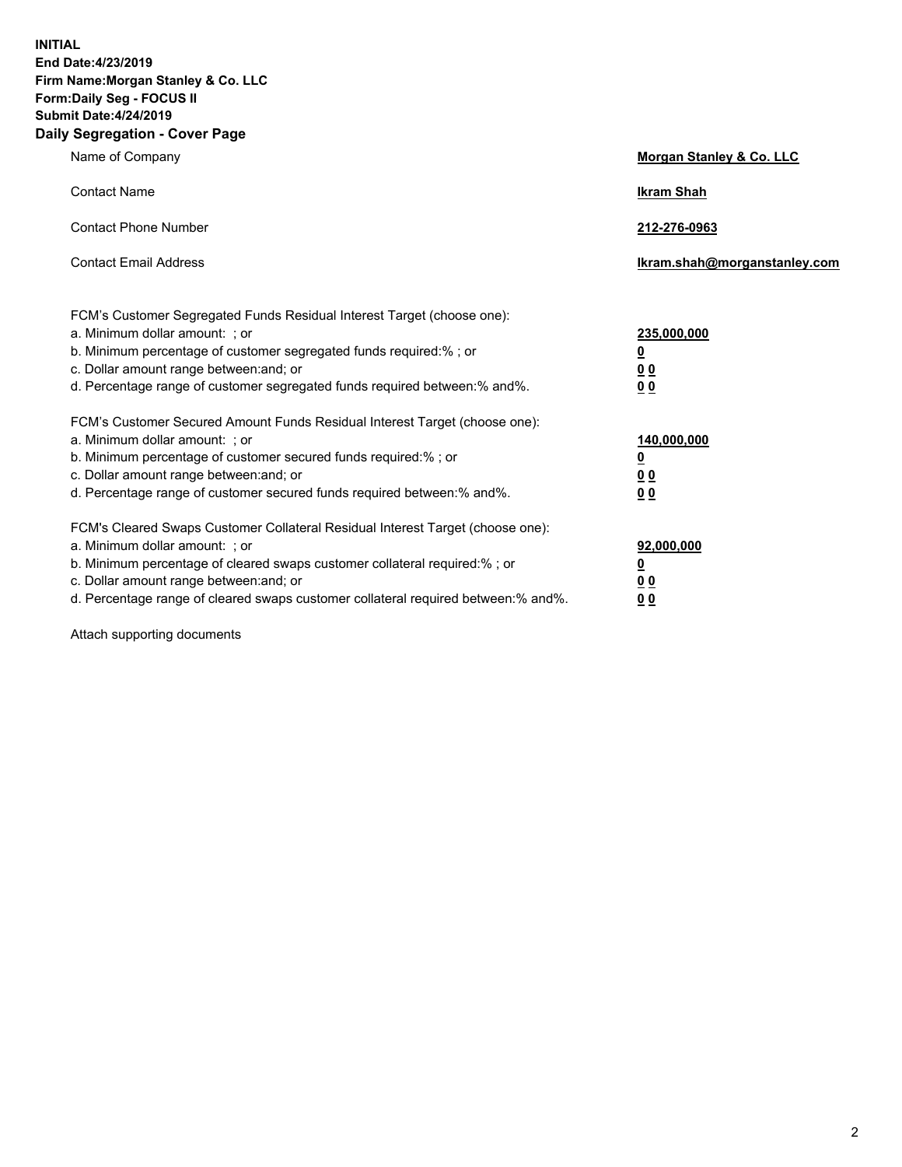**INITIAL End Date:4/23/2019 Firm Name:Morgan Stanley & Co. LLC Form:Daily Seg - FOCUS II Submit Date:4/24/2019 Daily Segregation - Cover Page**

| Name of Company                                                                   | Morgan Stanley & Co. LLC     |
|-----------------------------------------------------------------------------------|------------------------------|
| <b>Contact Name</b>                                                               | <b>Ikram Shah</b>            |
| <b>Contact Phone Number</b>                                                       | 212-276-0963                 |
| <b>Contact Email Address</b>                                                      | Ikram.shah@morganstanley.com |
| FCM's Customer Segregated Funds Residual Interest Target (choose one):            |                              |
| a. Minimum dollar amount: ; or                                                    | 235,000,000                  |
| b. Minimum percentage of customer segregated funds required:% ; or                | <u>0</u>                     |
| c. Dollar amount range between: and; or                                           | <u>0 0</u>                   |
| d. Percentage range of customer segregated funds required between: % and %.       | 00                           |
| FCM's Customer Secured Amount Funds Residual Interest Target (choose one):        |                              |
| a. Minimum dollar amount: ; or                                                    | 140,000,000                  |
| b. Minimum percentage of customer secured funds required:%; or                    | <u>0</u>                     |
| c. Dollar amount range between: and; or                                           | 0 <sub>0</sub>               |
| d. Percentage range of customer secured funds required between:% and%.            | 0 <sub>0</sub>               |
| FCM's Cleared Swaps Customer Collateral Residual Interest Target (choose one):    |                              |
| a. Minimum dollar amount: ; or                                                    | 92,000,000                   |
| b. Minimum percentage of cleared swaps customer collateral required:% ; or        | <u>0</u>                     |
| c. Dollar amount range between: and; or                                           | 0 Q                          |
| d. Percentage range of cleared swaps customer collateral required between:% and%. | 00                           |

Attach supporting documents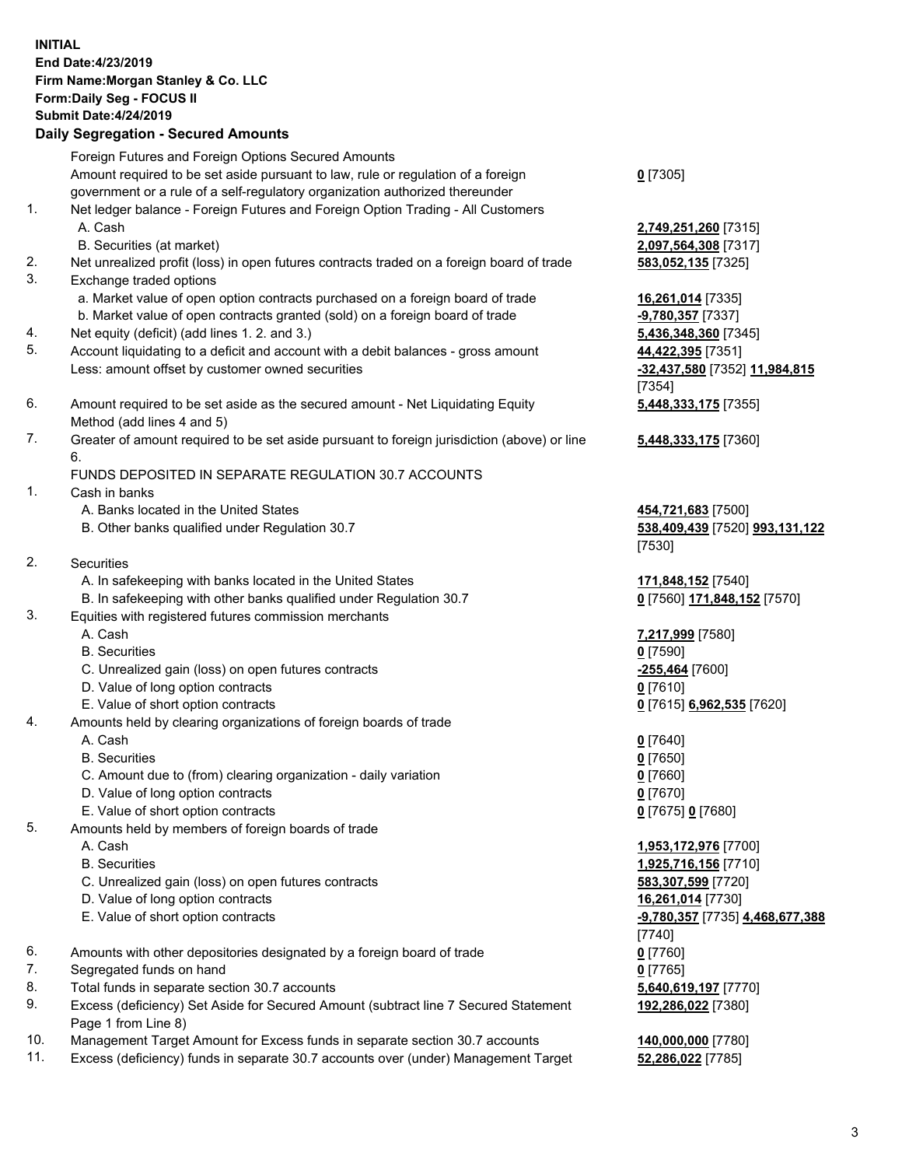## **INITIAL End Date:4/23/2019 Firm Name:Morgan Stanley & Co. LLC Form:Daily Seg - FOCUS II Submit Date:4/24/2019 Daily Segregation - Secured Amounts** Foreign Futures and Foreign Options Secured Amounts Amount required to be set aside pursuant to law, rule or regulation of a foreign government or a rule of a self-regulatory organization authorized thereunder 1. Net ledger balance - Foreign Futures and Foreign Option Trading - All Customers

- A. Cash **2,749,251,260** [7315] B. Securities (at market) **2,097,564,308** [7317] 2. Net unrealized profit (loss) in open futures contracts traded on a foreign board of trade **583,052,135** [7325] 3. Exchange traded options
	- a. Market value of open option contracts purchased on a foreign board of trade **16,261,014** [7335]
	- b. Market value of open contracts granted (sold) on a foreign board of trade **-9,780,357** [7337]
- 4. Net equity (deficit) (add lines 1. 2. and 3.) **5,436,348,360** [7345]
- 5. Account liquidating to a deficit and account with a debit balances gross amount **44,422,395** [7351] Less: amount offset by customer owned securities **-32,437,580** [7352] **11,984,815**
- 6. Amount required to be set aside as the secured amount Net Liquidating Equity Method (add lines 4 and 5)
- 7. Greater of amount required to be set aside pursuant to foreign jurisdiction (above) or line 6.

## FUNDS DEPOSITED IN SEPARATE REGULATION 30.7 ACCOUNTS

- 1. Cash in banks
	- A. Banks located in the United States **454,721,683** [7500]
	- B. Other banks qualified under Regulation 30.7 **538,409,439** [7520] **993,131,122**
- 2. Securities
	- A. In safekeeping with banks located in the United States **171,848,152** [7540]
	- B. In safekeeping with other banks qualified under Regulation 30.7 **0** [7560] **171,848,152** [7570]
- 3. Equities with registered futures commission merchants
	-
	- B. Securities **0** [7590]
	- C. Unrealized gain (loss) on open futures contracts **-255,464** [7600]
	- D. Value of long option contracts **0** [7610]
- E. Value of short option contracts **0** [7615] **6,962,535** [7620]
- 4. Amounts held by clearing organizations of foreign boards of trade
	- A. Cash **0** [7640]
	- B. Securities **0** [7650]
	- C. Amount due to (from) clearing organization daily variation **0** [7660]
	- D. Value of long option contracts **0** [7670]
	- E. Value of short option contracts **0** [7675] **0** [7680]
- 5. Amounts held by members of foreign boards of trade
	-
	-
	- C. Unrealized gain (loss) on open futures contracts **583,307,599** [7720]
	- D. Value of long option contracts **16,261,014** [7730]
	- E. Value of short option contracts **-9,780,357** [7735] **4,468,677,388**
- 6. Amounts with other depositories designated by a foreign board of trade **0** [7760]
- 7. Segregated funds on hand **0** [7765]
- 8. Total funds in separate section 30.7 accounts **5,640,619,197** [7770]
- 9. Excess (deficiency) Set Aside for Secured Amount (subtract line 7 Secured Statement Page 1 from Line 8)
- 10. Management Target Amount for Excess funds in separate section 30.7 accounts **140,000,000** [7780]
- 11. Excess (deficiency) funds in separate 30.7 accounts over (under) Management Target **52,286,022** [7785]

**0** [7305]

[7354] **5,448,333,175** [7355]

**5,448,333,175** [7360]

[7530]

A. Cash **7,217,999** [7580]

 A. Cash **1,953,172,976** [7700] B. Securities **1,925,716,156** [7710] [7740] **192,286,022** [7380]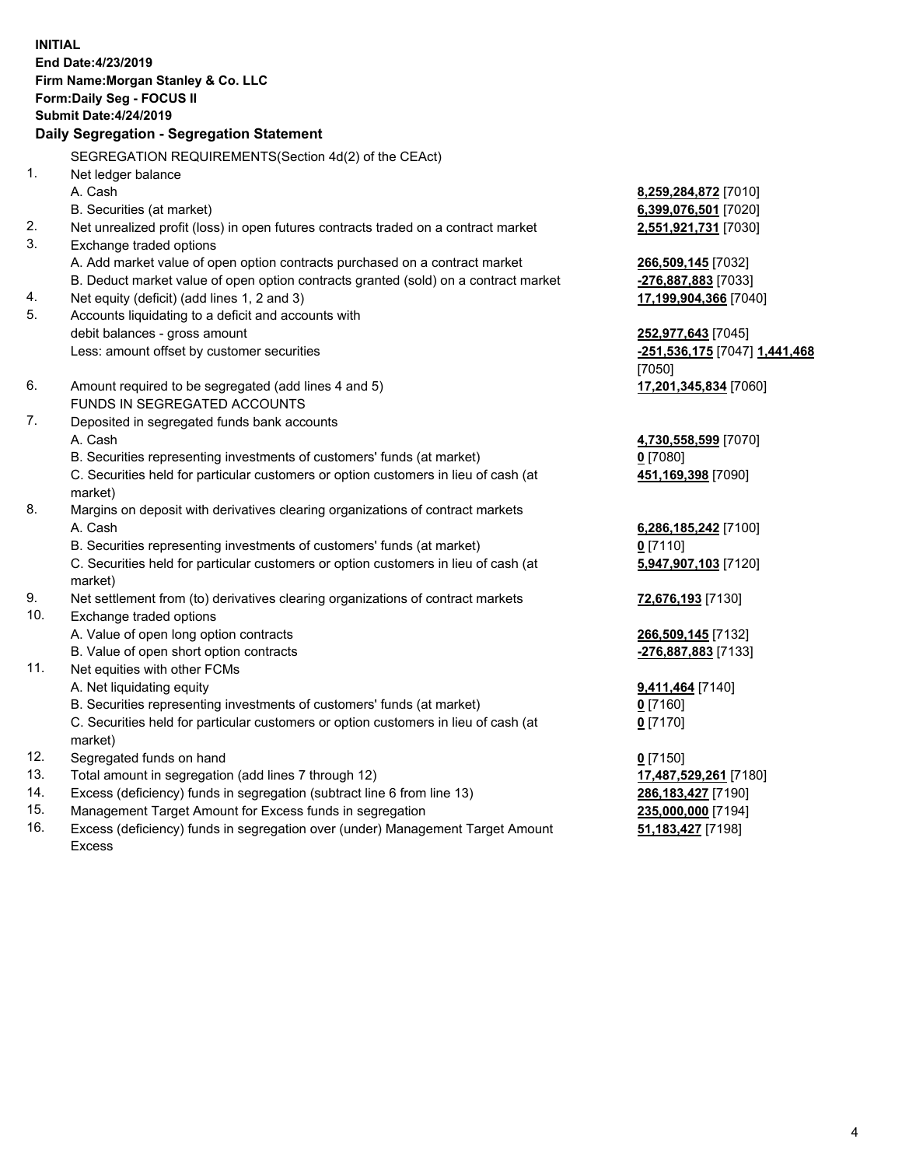**INITIAL End Date:4/23/2019 Firm Name:Morgan Stanley & Co. LLC Form:Daily Seg - FOCUS II Submit Date:4/24/2019 Daily Segregation - Segregation Statement** SEGREGATION REQUIREMENTS(Section 4d(2) of the CEAct) 1. Net ledger balance A. Cash **8,259,284,872** [7010] B. Securities (at market) **6,399,076,501** [7020] 2. Net unrealized profit (loss) in open futures contracts traded on a contract market **2,551,921,731** [7030] 3. Exchange traded options A. Add market value of open option contracts purchased on a contract market **266,509,145** [7032] B. Deduct market value of open option contracts granted (sold) on a contract market **-276,887,883** [7033] 4. Net equity (deficit) (add lines 1, 2 and 3) **17,199,904,366** [7040] 5. Accounts liquidating to a deficit and accounts with debit balances - gross amount **252,977,643** [7045] Less: amount offset by customer securities **-251,536,175** [7047] **1,441,468** [7050] 6. Amount required to be segregated (add lines 4 and 5) **17,201,345,834** [7060] FUNDS IN SEGREGATED ACCOUNTS 7. Deposited in segregated funds bank accounts A. Cash **4,730,558,599** [7070] B. Securities representing investments of customers' funds (at market) **0** [7080] C. Securities held for particular customers or option customers in lieu of cash (at market) **451,169,398** [7090] 8. Margins on deposit with derivatives clearing organizations of contract markets A. Cash **6,286,185,242** [7100] B. Securities representing investments of customers' funds (at market) **0** [7110] C. Securities held for particular customers or option customers in lieu of cash (at market) **5,947,907,103** [7120] 9. Net settlement from (to) derivatives clearing organizations of contract markets **72,676,193** [7130] 10. Exchange traded options A. Value of open long option contracts **266,509,145** [7132] B. Value of open short option contracts **-276,887,883** [7133] 11. Net equities with other FCMs A. Net liquidating equity **9,411,464** [7140] B. Securities representing investments of customers' funds (at market) **0** [7160] C. Securities held for particular customers or option customers in lieu of cash (at market) **0** [7170] 12. Segregated funds on hand **0** [7150] 13. Total amount in segregation (add lines 7 through 12) **17,487,529,261** [7180] 14. Excess (deficiency) funds in segregation (subtract line 6 from line 13) **286,183,427** [7190]

- 15. Management Target Amount for Excess funds in segregation **235,000,000** [7194]
- 16. Excess (deficiency) funds in segregation over (under) Management Target Amount Excess

**51,183,427** [7198]